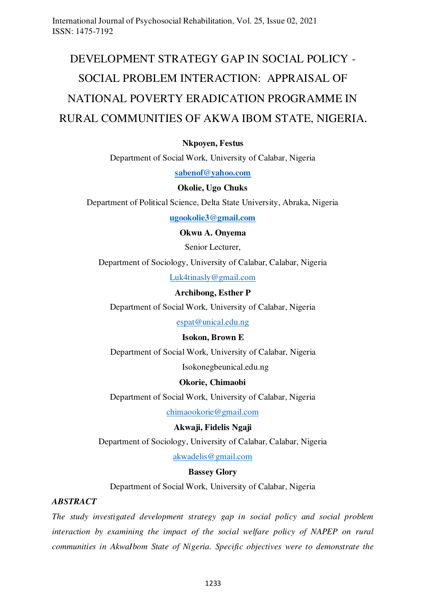# DEVELOPMENT STRATEGY GAP IN SOCIAL POLICY - SOCIAL PROBLEM INTERACTION: APPRAISAL OF NATIONAL POVERTY ERADICATION PROGRAMME IN RURAL COMMUNITIES OF AKWA IBOM STATE, NIGERIA**.**

# **Nkpoyen, Festus**

Department of Social Work, University of Calabar, Nigeria

**[sabenof@yahoo.com](mailto:sabenof@yahoo.com)**

#### **Okolie, Ugo Chuks**

Department of Political Science, Delta State University, Abraka, Nigeria

**[ugookolie3@gmail.com](mailto:ugookolie3@gmail.com)**

**Okwu A. Onyema** 

Senior Lecturer,

Department of Sociology, University of Calabar, Calabar, Nigeria

[Luk4tinasly@gmail.com](mailto:Luk4tinasly@gmail.com) 

#### **Archibong, Esther P**

Department of Social Work, University of Calabar, Nigeria

[espat@unical.edu.ng](mailto:espat@unical.edu.ng)

#### **Isokon, Brown E**

Department of Social Work, University of Calabar, Nigeria

Isokonegbeunical.edu.ng

#### **Okorie, Chimaobi**

Department of Social Work, University of Calabar, Nigeria

[chimaookorie@gmail.com](mailto:chimaookorie@gmail.com)

# **Akwaji, Fidelis Ngaji**

Department of Sociology, University of Calabar, Calabar, Nigeria

[akwadelis@gmail.com](mailto:akwadelis@gmail.com) 

#### **Bassey Glory**

Department of Social Work, University of Calabar, Nigeria

#### *ABSTRACT*

*The study investigated development strategy gap in social policy and social problem interaction by examining the impact of the social welfare policy of NAPEP on rural communities in AkwaIbom State of Nigeria. Specific objectives were to demonstrate the*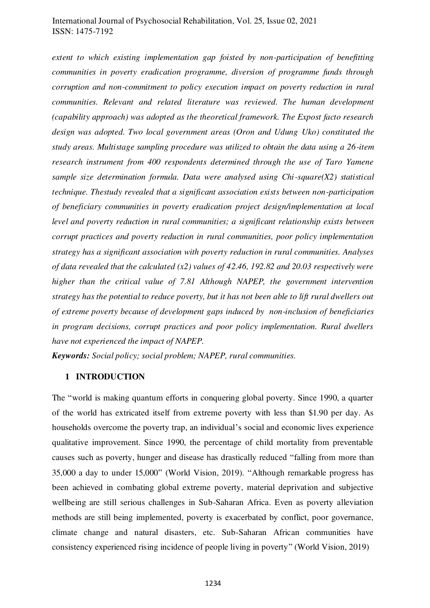*extent to which existing implementation gap foisted by non-participation of benefitting communities in poverty eradication programme, diversion of programme funds through corruption and non-commitment to policy execution impact on poverty reduction in rural communities. Relevant and related literature was reviewed. The human development (capability approach) was adopted as the theoretical framework. The Expost facto research design was adopted. Two local government areas (Oron and Udung Uko) constituted the study areas. Multistage sampling procedure was utilized to obtain the data using a 26-item research instrument from 400 respondents determined through the use of Taro Yamene sample size determination formula. Data were analysed using Chi-square(X2) statistical technique. Thestudy revealed that a significant association exists between non-participation of beneficiary communities in poverty eradication project design/implementation at local level and poverty reduction in rural communities; a significant relationship exists between corrupt practices and poverty reduction in rural communities, poor policy implementation strategy has a significant association with poverty reduction in rural communities. Analyses of data revealed that the calculated (x2) values of 42.46, 192.82 and 20.03 respectively were higher than the critical value of 7.81 Although NAPEP, the government intervention strategy has the potential to reduce poverty, but it has not been able to lift rural dwellers out of extreme poverty because of development gaps induced by non-inclusion of beneficiaries in program decisions, corrupt practices and poor policy implementation. Rural dwellers have not experienced the impact of NAPEP.* 

*Keywords: Social policy; social problem; NAPEP, rural communities.* 

#### **1 INTRODUCTION**

The "world is making quantum efforts in conquering global poverty. Since 1990, a quarter of the world has extricated itself from extreme poverty with less than \$1.90 per day. As households overcome the poverty trap, an individual's social and economic lives experience qualitative improvement. Since 1990, the percentage of child mortality from preventable causes such as poverty, hunger and disease has drastically reduced "falling from more than 35,000 a day to under 15,000" [\(World Vision, 2019\)](#page-25-0). "Although remarkable progress has been achieved in combating global extreme poverty, material deprivation and subjective wellbeing are still serious challenges in Sub-Saharan Africa. Even as poverty alleviation methods are still being implemented, poverty is exacerbated by conflict, poor governance, climate change and natural disasters, etc. Sub-Saharan African communities have consistency experienced rising incidence of people living in poverty" [\(World Vision, 2019\)](#page-25-0)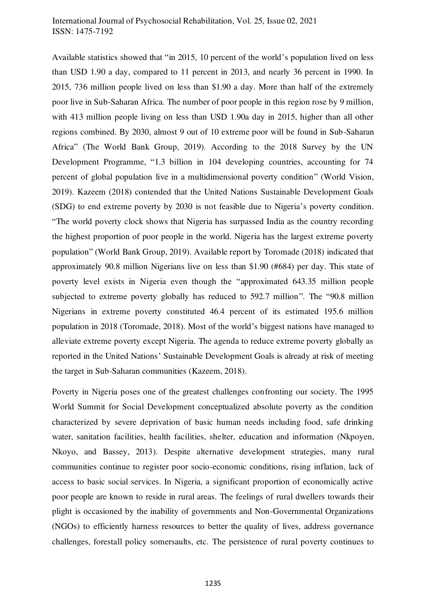Available statistics showed that "in 2015, 10 percent of the world's population lived on less than USD 1.90 a day, compared to 11 percent in 2013, and nearly 36 percent in 1990. In 2015, 736 million people lived on less than \$1.90 a day. More than half of the extremely poor live in Sub-Saharan Africa. The number of poor people in this region rose by 9 million, with 413 million people living on less than USD 1.90a day in 2015, higher than all other regions combined. By 2030, almost 9 out of 10 extreme poor will be found in Sub-Saharan Africa" (The World Bank Group, 2019). According to the 2018 Survey by the UN Development Programme, "1.3 billion in 104 developing countries, accounting for 74 percent of global population live in a multidimensional poverty condition" [\(World Vision,](#page-25-0)  [2019\)](#page-25-0). [Kazeem \(2018\)](#page-25-1) contended that the United Nations Sustainable Development Goals (SDG) to end extreme poverty by 2030 is not feasible due to Nigeria's poverty condition. "The world poverty clock shows that Nigeria has surpassed India as the country recording the highest proportion of poor people in the world. Nigeria has the largest extreme poverty population" [\(World Bank Group, 2019\)](#page-25-2). Available report by Toromade (2018) indicated that approximately 90.8 million Nigerians live on less than \$1.90 (#684) per day. This state of poverty level exists in Nigeria even though the "approximated 643.35 million people subjected to extreme poverty globally has reduced to 592.7 million". The "90.8 million Nigerians in extreme poverty constituted 46.4 percent of its estimated 195.6 million population in 2018 (Toromade, 2018). Most of the world's biggest nations have managed to alleviate extreme poverty except Nigeria. The agenda to reduce extreme poverty globally as reported in the United Nations' Sustainable Development Goals is already at risk of meeting the target in Sub-Saharan communities [\(Kazeem, 2018\)](#page-25-1).

Poverty in Nigeria poses one of the greatest challenges confronting our society. The 1995 World Summit for Social Development conceptualized absolute poverty as the condition characterized by severe deprivation of basic human needs including food, safe drinking water, sanitation facilities, health facilities, shelter, education and information [\(Nkpoyen,](#page-24-0)  [Nkoyo, and Bassey, 2013\)](#page-24-0). Despite alternative development strategies, many rural communities continue to register poor socio-economic conditions, rising inflation, lack of access to basic social services. In Nigeria, a significant proportion of economically active poor people are known to reside in rural areas. The feelings of rural dwellers towards their plight is occasioned by the inability of governments and Non-Governmental Organizations (NGOs) to efficiently harness resources to better the quality of lives, address governance challenges, forestall policy somersaults, etc. The persistence of rural poverty continues to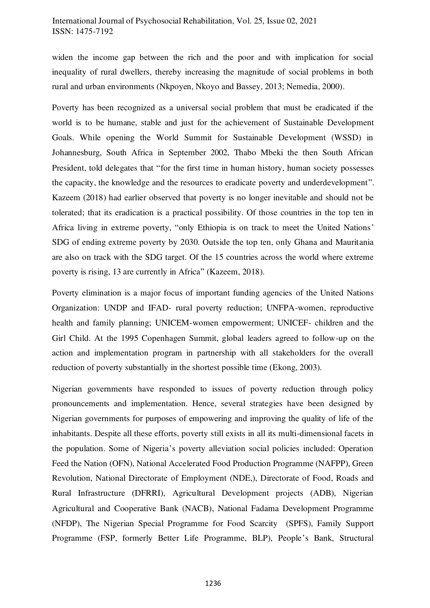widen the income gap between the rich and the poor and with implication for social inequality of rural dwellers, thereby increasing the magnitude of social problems in both rural and urban environments [\(Nkpoyen, Nkoyo and Bassey, 2013;](#page-24-0) [Nemedia, 2000\)](#page-23-0).

Poverty has been recognized as a universal social problem that must be eradicated if the world is to be humane, stable and just for the achievement of Sustainable Development Goals. While opening the World Summit for Sustainable Development (WSSD) in Johannesburg, South Africa in September 2002, Thabo Mbeki the then South African President, told delegates that "for the first time in human history, human society possesses the capacity, the knowledge and the resources to eradicate poverty and underdevelopment". [Kazeem \(2018\)](#page-25-1) had earlier observed that poverty is no longer inevitable and should not be tolerated; that its eradication is a practical possibility. Of those countries in the top ten in Africa living in extreme poverty, "only Ethiopia is on track to meet the United Nations' SDG of ending extreme poverty by 2030. Outside the top ten, only Ghana and Mauritania are also on track with the SDG target. Of the 15 countries across the world where extreme poverty is rising, 13 are currently in Africa" [\(Kazeem, 2018\)](#page-25-1).

Poverty elimination is a major focus of important funding agencies of the United Nations Organization: UNDP and IFAD- rural poverty reduction; UNFPA-women, reproductive health and family planning; UNICEM-women empowerment; UNICEF- children and the Girl Child. At the 1995 Copenhagen Summit, global leaders agreed to follow-up on the action and implementation program in partnership with all stakeholders for the overall reduction of poverty substantially in the shortest possible time [\(Ekong, 2003\)](#page-22-0).

Nigerian governments have responded to issues of poverty reduction through policy pronouncements and implementation. Hence, several strategies have been designed by Nigerian governments for purposes of empowering and improving the quality of life of the inhabitants. Despite all these efforts, poverty still exists in all its multi-dimensional facets in the population. Some of Nigeria's poverty alleviation social policies included: Operation Feed the Nation (OFN), National Accelerated Food Production Programme (NAFPP), Green Revolution, National Directorate of Employment (NDE,), Directorate of Food, Roads and Rural Infrastructure (DFRRI), Agricultural Development projects (ADB), Nigerian Agricultural and Cooperative Bank (NACB), National Fadama Development Programme (NFDP), The Nigerian Special Programme for Food Scarcity (SPFS), Family Support Programme (FSP, formerly Better Life Programme, BLP), People's Bank, Structural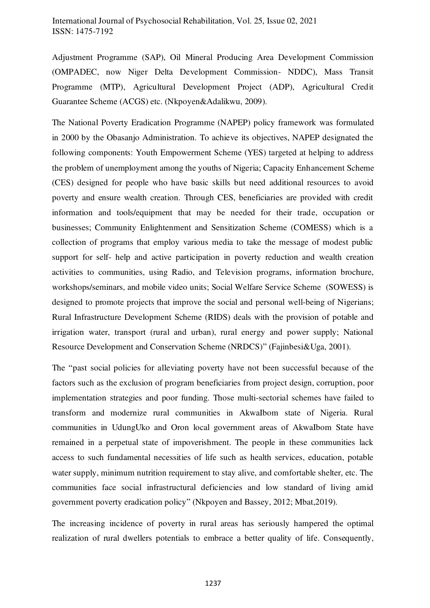Adjustment Programme (SAP), Oil Mineral Producing Area Development Commission (OMPADEC, now Niger Delta Development Commission- NDDC), Mass Transit Programme (MTP), Agricultural Development Project (ADP), Agricultural Credit Guarantee Scheme (ACGS) etc. [\(Nkpoyen&Adalikwu, 2009\)](#page-24-1).

The National Poverty Eradication Programme (NAPEP) policy framework was formulated in 2000 by the Obasanjo Administration. To achieve its objectives, NAPEP designated the following components: Youth Empowerment Scheme (YES) targeted at helping to address the problem of unemployment among the youths of Nigeria; Capacity Enhancement Scheme (CES) designed for people who have basic skills but need additional resources to avoid poverty and ensure wealth creation. Through CES, beneficiaries are provided with credit information and tools/equipment that may be needed for their trade, occupation or businesses; Community Enlightenment and Sensitization Scheme (COMESS) which is a collection of programs that employ various media to take the message of modest public support for self- help and active participation in poverty reduction and wealth creation activities to communities, using Radio, and Television programs, information brochure, workshops/seminars, and mobile video units; Social Welfare Service Scheme (SOWESS) is designed to promote projects that improve the social and personal well-being of Nigerians; Rural Infrastructure Development Scheme (RIDS) deals with the provision of potable and irrigation water, transport (rural and urban), rural energy and power supply; National Resource Development and Conservation Scheme (NRDCS)" [\(Fajinbesi&Uga, 2001\)](#page-23-1).

The "past social policies for alleviating poverty have not been successful because of the factors such as the exclusion of program beneficiaries from project design, corruption, poor implementation strategies and poor funding. Those multi-sectorial schemes have failed to transform and modernize rural communities in AkwaIbom state of Nigeria. Rural communities in UdungUko and Oron local government areas of AkwaIbom State have remained in a perpetual state of impoverishment. The people in these communities lack access to such fundamental necessities of life such as health services, education, potable water supply, minimum nutrition requirement to stay alive, and comfortable shelter, etc. The communities face social infrastructural deficiencies and low standard of living amid government poverty eradication policy" [\(Nkpoyen and Bassey, 2012;](#page-24-2) [Mbat,2019\)](#page-23-2).

The increasing incidence of poverty in rural areas has seriously hampered the optimal realization of rural dwellers potentials to embrace a better quality of life. Consequently,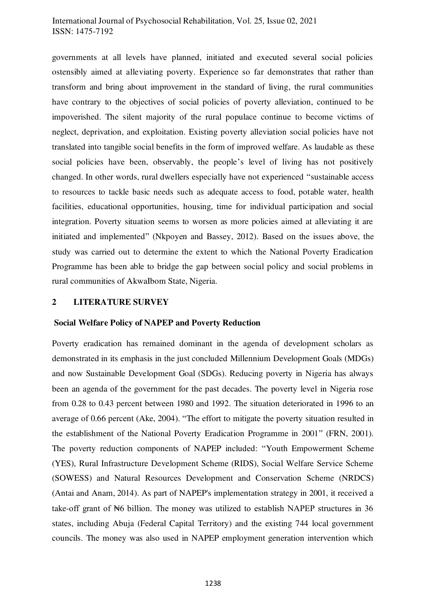governments at all levels have planned, initiated and executed several social policies ostensibly aimed at alleviating poverty. Experience so far demonstrates that rather than transform and bring about improvement in the standard of living, the rural communities have contrary to the objectives of social policies of poverty alleviation, continued to be impoverished. The silent majority of the rural populace continue to become victims of neglect, deprivation, and exploitation. Existing poverty alleviation social policies have not translated into tangible social benefits in the form of improved welfare. As laudable as these social policies have been, observably, the people's level of living has not positively changed. In other words, rural dwellers especially have not experienced "sustainable access to resources to tackle basic needs such as adequate access to food, potable water, health facilities, educational opportunities, housing, time for individual participation and social integration. Poverty situation seems to worsen as more policies aimed at alleviating it are initiated and implemented" [\(Nkpoyen and Bassey, 2012\)](#page-24-2). Based on the issues above, the study was carried out to determine the extent to which the National Poverty Eradication Programme has been able to bridge the gap between social policy and social problems in rural communities of AkwaIbom State, Nigeria.

#### **2 LITERATURE SURVEY**

#### **Social Welfare Policy of NAPEP and Poverty Reduction**

Poverty eradication has remained dominant in the agenda of development scholars as demonstrated in its emphasis in the just concluded Millennium Development Goals (MDGs) and now Sustainable Development Goal (SDGs). Reducing poverty in Nigeria has always been an agenda of the government for the past decades. The poverty level in Nigeria rose from 0.28 to 0.43 percent between 1980 and 1992. The situation deteriorated in 1996 to an average of 0.66 percent [\(Ake, 2004\)](#page-22-1). "The effort to mitigate the poverty situation resulted in the establishment of the National Poverty Eradication Programme in 2001" [\(FRN, 2001\)](#page-23-3). The poverty reduction components of NAPEP included: "Youth Empowerment Scheme (YES), Rural Infrastructure Development Scheme (RIDS), Social Welfare Service Scheme (SOWESS) and Natural Resources Development and Conservation Scheme (NRDCS) [\(Antai and Anam, 2014\)](#page-22-2). As part of NAPEP's implementation strategy in 2001, it received a take-off grant of  $\mathbb{H}_6$  billion. The money was utilized to establish NAPEP structures in 36 states, including Abuja (Federal Capital Territory) and the existing 744 local government councils. The money was also used in NAPEP employment generation intervention which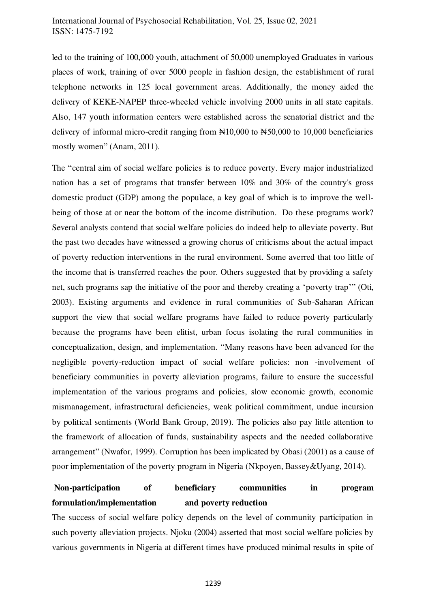led to the training of 100,000 youth, attachment of 50,000 unemployed Graduates in various places of work, training of over 5000 people in fashion design, the establishment of rural telephone networks in 125 local government areas. Additionally, the money aided the delivery of KEKE-NAPEP three-wheeled vehicle involving 2000 units in all state capitals. Also, 147 youth information centers were established across the senatorial district and the delivery of informal micro-credit ranging from  $\mathbb{N}10,000$  to  $\mathbb{N}50,000$  to 10,000 beneficiaries mostly women" [\(Anam, 2011\).](#page-22-3) 

The "central aim of social welfare policies is to reduce poverty. Every major industrialized nation has a set of programs that transfer between 10% and 30% of the country's gross domestic product (GDP) among the populace, a key goal of which is to improve the wellbeing of those at or near the bottom of the income distribution. Do these programs work? Several analysts contend that social welfare policies do indeed help to alleviate poverty. But the past two decades have witnessed a growing chorus of criticisms about the actual impact of poverty reduction interventions in the rural environment. Some averred that too little of the income that is transferred reaches the poor. Others suggested that by providing a safety net, such programs sap the initiative of the poor and thereby creating a 'poverty trap'" [\(Oti,](#page-25-3)  [2003\)](#page-25-3). Existing arguments and evidence in rural communities of Sub-Saharan African support the view that social welfare programs have failed to reduce poverty particularly because the programs have been elitist, urban focus isolating the rural communities in conceptualization, design, and implementation. "Many reasons have been advanced for the negligible poverty-reduction impact of social welfare policies: non -involvement of beneficiary communities in poverty alleviation programs, failure to ensure the successful implementation of the various programs and policies, slow economic growth, economic mismanagement, infrastructural deficiencies, weak political commitment, undue incursion by political sentiments [\(World Bank Group, 2019\)](#page-25-2). The policies also pay little attention to the framework of allocation of funds, sustainability aspects and the needed collaborative arrangement" [\(Nwafor, 1999\)](#page-24-3). Corruption has been implicated by [Obasi \(2001\)](#page-24-4) as a cause of poor implementation of the poverty program in Nigeria [\(Nkpoyen, Bassey&Uyang, 2014\)](#page-24-5).

# **Non-participation of beneficiary communities in program formulation/implementation and poverty reduction**

The success of social welfare policy depends on the level of community participation in such poverty alleviation projects. Njoku (2004) asserted that most social welfare policies by various governments in Nigeria at different times have produced minimal results in spite of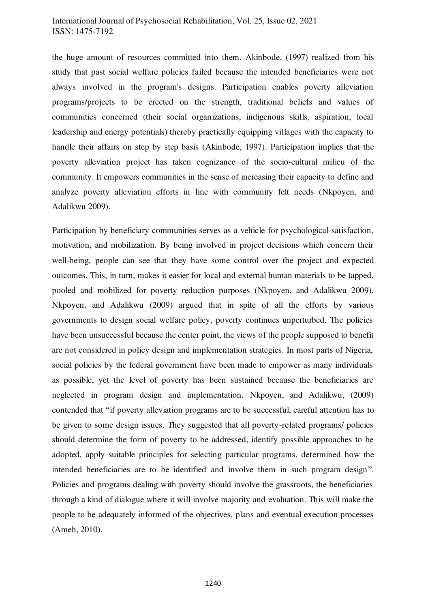the huge amount of resources committed into them. [Akinbode, \(1997\)](#page-22-4) realized from his study that past social welfare policies failed because the intended beneficiaries were not always involved in the program's designs. Participation enables poverty alleviation programs/projects to be erected on the strength, traditional beliefs and values of communities concerned (their social organizations, indigenous skills, aspiration, local leadership and energy potentials) thereby practically equipping villages with the capacity to handle their affairs on step by step basis [\(Akinbode, 1997\)](#page-22-4). Participation implies that the poverty alleviation project has taken cognizance of the socio-cultural milieu of the community. It empowers communities in the sense of increasing their capacity to define and analyze poverty alleviation efforts in line with community felt needs [\(Nkpoyen, and](#page-24-1)  [Adalikwu 2009\)](#page-24-1).

Participation by beneficiary communities serves as a vehicle for psychological satisfaction, motivation, and mobilization. By being involved in project decisions which concern their well-being, people can see that they have some control over the project and expected outcomes. This, in turn, makes it easier for local and external human materials to be tapped, pooled and mobilized for poverty reduction purposes [\(Nkpoyen, and Adalikwu 2009\)](#page-24-1). [Nkpoyen, and Adalikwu \(2009\)](#page-24-1) argued that in spite of all the efforts by various governments to design social welfare policy, poverty continues unperturbed. The policies have been unsuccessful because the center point, the views of the people supposed to benefit are not considered in policy design and implementation strategies. In most parts of Nigeria, social policies by the federal government have been made to empower as many individuals as possible, yet the level of poverty has been sustained because the beneficiaries are neglected in program design and implementation. [Nkpoyen, and Adalikwu, \(2009\)](#page-24-1) contended that "if poverty alleviation programs are to be successful, careful attention has to be given to some design issues. They suggested that all poverty-related programs/ policies should determine the form of poverty to be addressed, identify possible approaches to be adopted, apply suitable principles for selecting particular programs, determined how the intended beneficiaries are to be identified and involve them in such program design". Policies and programs dealing with poverty should involve the grassroots, the beneficiaries through a kind of dialogue where it will involve majority and evaluation. This will make the people to be adequately informed of the objectives, plans and eventual execution processes [\(Ameh, 2010\)](#page-22-5).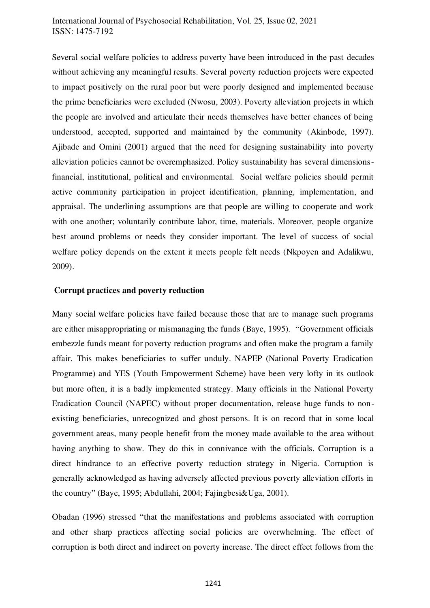Several social welfare policies to address poverty have been introduced in the past decades without achieving any meaningful results. Several poverty reduction projects were expected to impact positively on the rural poor but were poorly designed and implemented because the prime beneficiaries were excluded [\(Nwosu, 2003\)](#page-24-6). Poverty alleviation projects in which the people are involved and articulate their needs themselves have better chances of being understood, accepted, supported and maintained by the community [\(Akinbode, 1997\)](#page-22-4). [Ajibade and Omini \(2001\)](#page-22-6) argued that the need for designing sustainability into poverty alleviation policies cannot be overemphasized. Policy sustainability has several dimensionsfinancial, institutional, political and environmental. Social welfare policies should permit active community participation in project identification, planning, implementation, and appraisal. The underlining assumptions are that people are willing to cooperate and work with one another; voluntarily contribute labor, time, materials. Moreover, people organize best around problems or needs they consider important. The level of success of social welfare policy depends on the extent it meets people felt needs [\(Nkpoyen and Adalikwu,](#page-24-1)  [2009\)](#page-24-1).

#### **Corrupt practices and poverty reduction**

Many social welfare policies have failed because those that are to manage such programs are either misappropriating or mismanaging the funds [\(Baye, 1995\)](#page-22-7). "Government officials embezzle funds meant for poverty reduction programs and often make the program a family affair. This makes beneficiaries to suffer unduly. NAPEP (National Poverty Eradication Programme) and YES (Youth Empowerment Scheme) have been very lofty in its outlook but more often, it is a badly implemented strategy. Many officials in the National Poverty Eradication Council (NAPEC) without proper documentation, release huge funds to nonexisting beneficiaries, unrecognized and ghost persons. It is on record that in some local government areas, many people benefit from the money made available to the area without having anything to show. They do this in connivance with the officials. Corruption is a direct hindrance to an effective poverty reduction strategy in Nigeria. Corruption is generally acknowledged as having adversely affected previous poverty alleviation efforts in the country" [\(Baye, 1995;](#page-22-7) [Abdullahi, 2004;](#page-22-8) [Fajingbesi&Uga, 2001\)](#page-23-1).

[Obadan \(1996\)](#page-25-4) stressed "that the manifestations and problems associated with corruption and other sharp practices affecting social policies are overwhelming. The effect of corruption is both direct and indirect on poverty increase. The direct effect follows from the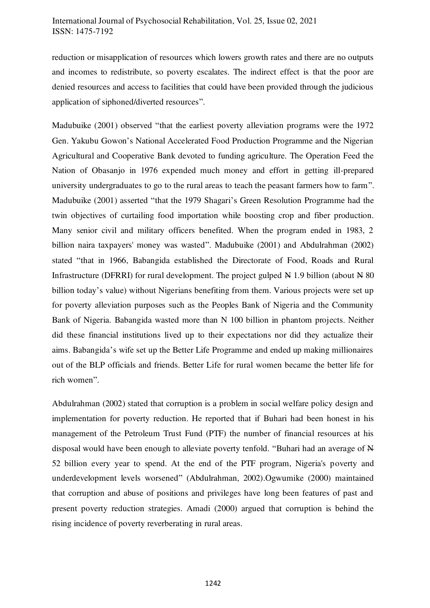reduction or misapplication of resources which lowers growth rates and there are no outputs and incomes to redistribute, so poverty escalates. The indirect effect is that the poor are denied resources and access to facilities that could have been provided through the judicious application of siphoned/diverted resources".

[Madubuike \(2001\)](#page-23-4) observed "that the earliest poverty alleviation programs were the 1972 Gen. Yakubu Gowon's National Accelerated Food Production Programme and the Nigerian Agricultural and Cooperative Bank devoted to funding agriculture. The Operation Feed the Nation of Obasanjo in 1976 expended much money and effort in getting ill-prepared university undergraduates to go to the rural areas to teach the peasant farmers how to farm". [Madubuike \(2001\)](#page-23-4) asserted "that the 1979 Shagari's Green Resolution Programme had the twin objectives of curtailing food importation while boosting crop and fiber production. Many senior civil and military officers benefited. When the program ended in 1983, 2 billion naira taxpayers' money was wasted". [Madubuike \(2001\)](#page-23-4) and [Abdulrahman \(2002\)](#page-22-9) stated "that in 1966, Babangida established the Directorate of Food, Roads and Rural Infrastructure (DFRRI) for rural development. The project gulped N 1.9 billion (about N 80) billion today's value) without Nigerians benefiting from them. Various projects were set up for poverty alleviation purposes such as the Peoples Bank of Nigeria and the Community Bank of Nigeria. Babangida wasted more than N 100 billion in phantom projects. Neither did these financial institutions lived up to their expectations nor did they actualize their aims. Babangida's wife set up the Better Life Programme and ended up making millionaires out of the BLP officials and friends. Better Life for rural women became the better life for rich women".

[Abdulrahman \(2002\)](#page-22-9) stated that corruption is a problem in social welfare policy design and implementation for poverty reduction. He reported that if Buhari had been honest in his management of the Petroleum Trust Fund (PTF) the number of financial resources at his disposal would have been enough to alleviate poverty tenfold. "Buhari had an average of N 52 billion every year to spend. At the end of the PTF program, Nigeria's poverty and underdevelopment levels worsened" [\(Abdulrahman, 2002\).Ogwumike \(2000\)](#page-22-9) maintained that corruption and abuse of positions and privileges have long been features of past and present poverty reduction strategies. [Amadi \(2000\)](#page-22-10) argued that corruption is behind the rising incidence of poverty reverberating in rural areas.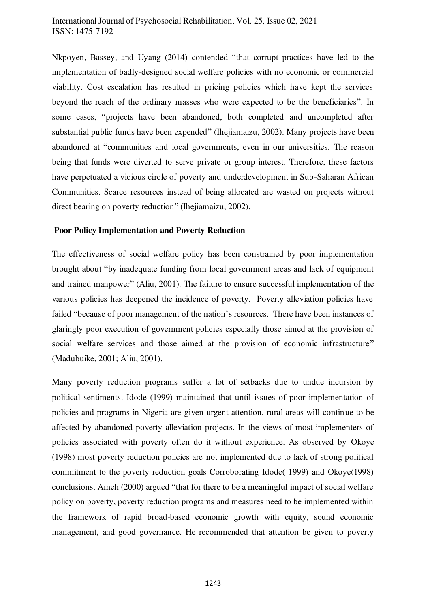[Nkpoyen, Bassey, and Uyang \(2014\)](#page-24-5) contended "that corrupt practices have led to the implementation of badly-designed social welfare policies with no economic or commercial viability. Cost escalation has resulted in pricing policies which have kept the services beyond the reach of the ordinary masses who were expected to be the beneficiaries". In some cases, "projects have been abandoned, both completed and uncompleted after substantial public funds have been expended" [\(Ihejiamaizu, 2002\).](#page-23-5) Many projects have been abandoned at "communities and local governments, even in our universities. The reason being that funds were diverted to serve private or group interest. Therefore, these factors have perpetuated a vicious circle of poverty and underdevelopment in Sub-Saharan African Communities. Scarce resources instead of being allocated are wasted on projects without direct bearing on poverty reduction" [\(Ihejiamaizu, 2002\).](#page-23-5) 

### **Poor Policy Implementation and Poverty Reduction**

The effectiveness of social welfare policy has been constrained by poor implementation brought about "by inadequate funding from local government areas and lack of equipment and trained manpower" [\(Aliu, 2001\)](#page-22-11). The failure to ensure successful implementation of the various policies has deepened the incidence of poverty. Poverty alleviation policies have failed "because of poor management of the nation's resources. There have been instances of glaringly poor execution of government policies especially those aimed at the provision of social welfare services and those aimed at the provision of economic infrastructure" [\(Madubuike, 2001;](#page-23-4) [Aliu, 2001\).](#page-22-11)

Many poverty reduction programs suffer a lot of setbacks due to undue incursion by political sentiment[s. Idode \(1999\)](#page-23-6) maintained that until issues of poor implementation of policies and programs in Nigeria are given urgent attention, rural areas will continue to be affected by abandoned poverty alleviation projects. In the views of most implementers of policies associated with poverty often do it without experience. As observed by [Okoye](#page-25-5)  [\(1998\)](#page-25-5) most poverty reduction policies are not implemented due to lack of strong political commitment to the poverty reduction goals Corroborating [Idode\( 1999\)](#page-23-6) and [Okoye\(1998\)](#page-25-5)  conclusions[, Ameh \(2000\)](#page-22-5) argued "that for there to be a meaningful impact of social welfare policy on poverty, poverty reduction programs and measures need to be implemented within the framework of rapid broad-based economic growth with equity, sound economic management, and good governance. He recommended that attention be given to poverty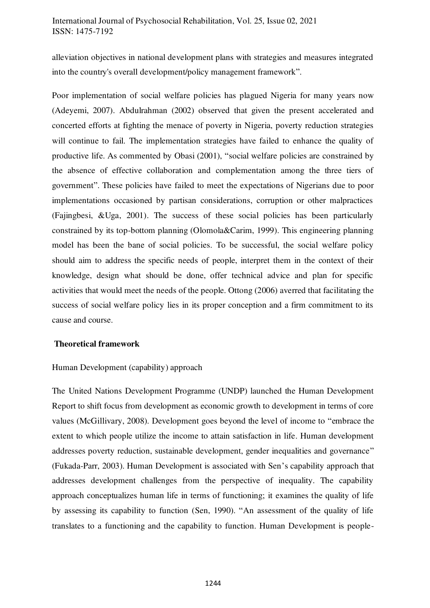alleviation objectives in national development plans with strategies and measures integrated into the country's overall development/policy management framework".

Poor implementation of social welfare policies has plagued Nigeria for many years now (Adeyemi, 2007). [Abdulrahman \(2002\)](#page-22-9) observed that given the present accelerated and concerted efforts at fighting the menace of poverty in Nigeria, poverty reduction strategies will continue to fail. The implementation strategies have failed to enhance the quality of productive life. As commented by [Obasi \(2001\),](#page-24-4) "social welfare policies are constrained by the absence of effective collaboration and complementation among the three tiers of government". These policies have failed to meet the expectations of Nigerians due to poor implementations occasioned by partisan considerations, corruption or other malpractices [\(Fajingbesi, &Uga, 2001\)](#page-23-1). The success of these social policies has been particularly constrained by its top-bottom planning [\(Olomola&Carim, 1999\).](#page-25-6) This engineering planning model has been the bane of social policies. To be successful, the social welfare policy should aim to address the specific needs of people, interpret them in the context of their knowledge, design what should be done, offer technical advice and plan for specific activities that would meet the needs of the people. [Ottong \(2006\)](#page-25-7) averred that facilitating the success of social welfare policy lies in its proper conception and a firm commitment to its cause and course.

#### **Theoretical framework**

#### Human Development (capability) approach

The United Nations Development Programme (UNDP) launched the Human Development Report to shift focus from development as economic growth to development in terms of core values [\(McGillivary, 2008\)](#page-23-7). Development goes beyond the level of income to "embrace the extent to which people utilize the income to attain satisfaction in life. Human development addresses poverty reduction, sustainable development, gender inequalities and governance" [\(Fukada-Parr, 2003\)](#page-23-8). Human Development is associated with Sen's capability approach that addresses development challenges from the perspective of inequality. The capability approach conceptualizes human life in terms of functioning; it examines the quality of life by assessing its capability to function [\(Sen, 1990\)](#page-24-7). "An assessment of the quality of life translates to a functioning and the capability to function. Human Development is people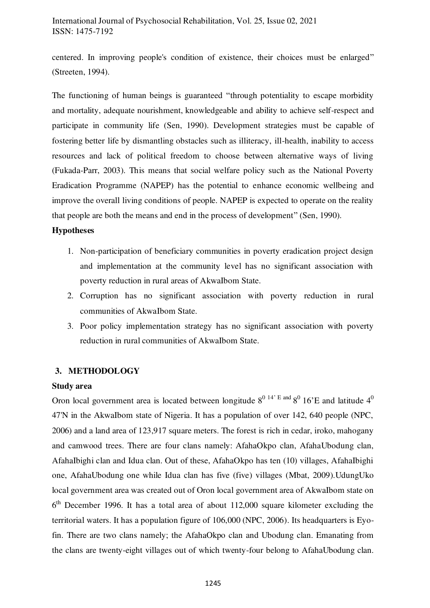centered. In improving people's condition of existence, their choices must be enlarged" [\(Streeten, 1994\)](#page-24-8).

The functioning of human beings is guaranteed "through potentiality to escape morbidity and mortality, adequate nourishment, knowledgeable and ability to achieve self-respect and participate in community life [\(Sen, 1990\).](#page-24-7) Development strategies must be capable of fostering better life by dismantling obstacles such as illiteracy, ill-health, inability to access resources and lack of political freedom to choose between alternative ways of living [\(Fukada-Parr, 2003\)](#page-23-8). This means that social welfare policy such as the National Poverty Eradication Programme (NAPEP) has the potential to enhance economic wellbeing and improve the overall living conditions of people. NAPEP is expected to operate on the reality that people are both the means and end in the process of development" [\(Sen, 1990\)](#page-24-7).

### **Hypotheses**

- 1. Non-participation of beneficiary communities in poverty eradication project design and implementation at the community level has no significant association with poverty reduction in rural areas of AkwaIbom State.
- 2. Corruption has no significant association with poverty reduction in rural communities of AkwaIbom State.
- 3. Poor policy implementation strategy has no significant association with poverty reduction in rural communities of AkwaIbom State.

# **3. METHODOLOGY**

# **Study area**

Oron local government area is located between longitude  $8^{0}$  14' E and  $8^{0}$  16'E and latitude  $4^{0}$ 47'N in the AkwaIbom state of Nigeria. It has a population of over 142, 640 people (NPC, 2006) and a land area of 123,917 square meters. The forest is rich in cedar, iroko, mahogany and camwood trees. There are four clans namely: AfahaOkpo clan, AfahaUbodung clan, AfahaIbighi clan and Idua clan. Out of these, AfahaOkpo has ten (10) villages, AfahaIbighi one, AfahaUbodung one while Idua clan has five (five) villages [\(Mbat, 2009\)](#page-23-2).UdungUko local government area was created out of Oron local government area of AkwaIbom state on 6<sup>th</sup> December 1996. It has a total area of about 112,000 square kilometer excluding the territorial waters. It has a population figure of 106,000 (NPC, 2006). Its headquarters is Eyofin. There are two clans namely; the AfahaOkpo clan and Ubodung clan. Emanating from the clans are twenty-eight villages out of which twenty-four belong to AfahaUbodung clan.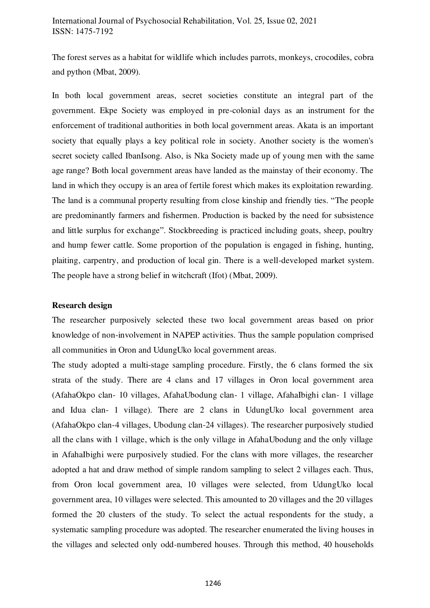The forest serves as a habitat for wildlife which includes parrots, monkeys, crocodiles, cobra and python [\(Mbat, 2009\)](#page-23-2).

In both local government areas, secret societies constitute an integral part of the government. Ekpe Society was employed in pre-colonial days as an instrument for the enforcement of traditional authorities in both local government areas. Akata is an important society that equally plays a key political role in society. Another society is the women's secret society called IbanIsong. Also, is Nka Society made up of young men with the same age range? Both local government areas have landed as the mainstay of their economy. The land in which they occupy is an area of fertile forest which makes its exploitation rewarding. The land is a communal property resulting from close kinship and friendly ties. "The people are predominantly farmers and fishermen. Production is backed by the need for subsistence and little surplus for exchange". Stockbreeding is practiced including goats, sheep, poultry and hump fewer cattle. Some proportion of the population is engaged in fishing, hunting, plaiting, carpentry, and production of local gin. There is a well-developed market system. The people have a strong belief in witchcraft (Ifot) [\(Mbat, 2009\)](#page-23-2).

#### **Research design**

The researcher purposively selected these two local government areas based on prior knowledge of non-involvement in NAPEP activities. Thus the sample population comprised all communities in Oron and UdungUko local government areas.

The study adopted a multi-stage sampling procedure. Firstly, the 6 clans formed the six strata of the study. There are 4 clans and 17 villages in Oron local government area (AfahaOkpo clan- 10 villages, AfahaUbodung clan- 1 village, AfahaIbighi clan- 1 village and Idua clan- 1 village). There are 2 clans in UdungUko local government area (AfahaOkpo clan-4 villages, Ubodung clan-24 villages). The researcher purposively studied all the clans with 1 village, which is the only village in AfahaUbodung and the only village in AfahaIbighi were purposively studied. For the clans with more villages, the researcher adopted a hat and draw method of simple random sampling to select 2 villages each. Thus, from Oron local government area, 10 villages were selected, from UdungUko local government area, 10 villages were selected. This amounted to 20 villages and the 20 villages formed the 20 clusters of the study. To select the actual respondents for the study, a systematic sampling procedure was adopted. The researcher enumerated the living houses in the villages and selected only odd-numbered houses. Through this method, 40 households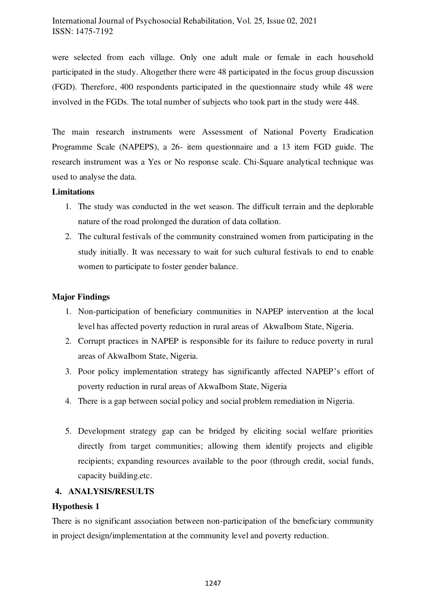were selected from each village. Only one adult male or female in each household participated in the study. Altogether there were 48 participated in the focus group discussion (FGD). Therefore, 400 respondents participated in the questionnaire study while 48 were involved in the FGDs. The total number of subjects who took part in the study were 448.

The main research instruments were Assessment of National Poverty Eradication Programme Scale (NAPEPS), a 26- item questionnaire and a 13 item FGD guide. The research instrument was a Yes or No response scale. Chi-Square analytical technique was used to analyse the data.

### **Limitations**

- 1. The study was conducted in the wet season. The difficult terrain and the deplorable nature of the road prolonged the duration of data collation.
- 2. The cultural festivals of the community constrained women from participating in the study initially. It was necessary to wait for such cultural festivals to end to enable women to participate to foster gender balance.

# **Major Findings**

- 1. Non-participation of beneficiary communities in NAPEP intervention at the local level has affected poverty reduction in rural areas of AkwaIbom State, Nigeria.
- 2. Corrupt practices in NAPEP is responsible for its failure to reduce poverty in rural areas of AkwaIbom State, Nigeria.
- 3. Poor policy implementation strategy has significantly affected NAPEP's effort of poverty reduction in rural areas of AkwaIbom State, Nigeria
- 4. There is a gap between social policy and social problem remediation in Nigeria.
- 5. Development strategy gap can be bridged by eliciting social welfare priorities directly from target communities; allowing them identify projects and eligible recipients; expanding resources available to the poor (through credit, social funds, capacity building.etc.

# **4. ANALYSIS/RESULTS**

# **Hypothesis 1**

There is no significant association between non-participation of the beneficiary community in project design/implementation at the community level and poverty reduction.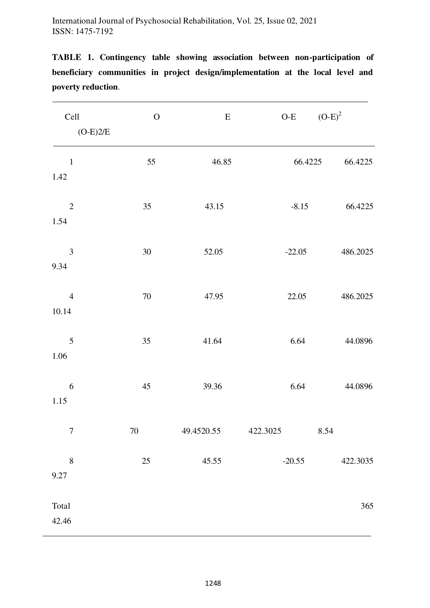| Cell<br>$(O-E)2/E$       | ${\bf O}$ | ${\bf E}$  | $O-E$    | $(O-E)^2$ |
|--------------------------|-----------|------------|----------|-----------|
| $\mathbf{1}$<br>1.42     | 55        | 46.85      | 66.4225  | 66.4225   |
| $\mathbf{2}$<br>1.54     | 35        | 43.15      | $-8.15$  | 66.4225   |
| 3<br>9.34                | $30\,$    | 52.05      | $-22.05$ | 486.2025  |
| $\overline{4}$<br>10.14  | $70\,$    | 47.95      | 22.05    | 486.2025  |
| 5<br>1.06                | 35        | 41.64      | 6.64     | 44.0896   |
| $\boldsymbol{6}$<br>1.15 | 45        | 39.36      | 6.64     | 44.0896   |
| $\boldsymbol{7}$         | $70\,$    | 49.4520.55 | 422.3025 | 8.54      |
| $8\,$<br>9.27            | $25\,$    | 45.55      | $-20.55$ | 422.3035  |
| Total<br>42.46           |           |            |          | 365       |

**TABLE 1. Contingency table showing association between non-participation of beneficiary communities in project design/implementation at the local level and poverty reduction**.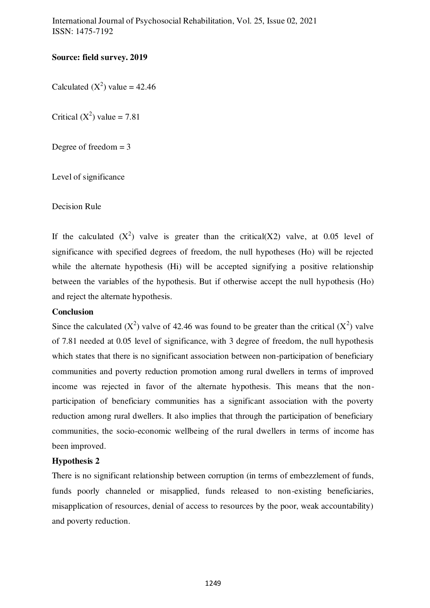# **Source: field survey. 2019**

Calculated  $(X^2)$  value = 42.46

Critical  $(X^2)$  value = 7.81

Degree of freedom  $= 3$ 

Level of significance

Decision Rule

If the calculated  $(X^2)$  valve is greater than the critical  $(X2)$  valve, at 0.05 level of significance with specified degrees of freedom, the null hypotheses (Ho) will be rejected while the alternate hypothesis (Hi) will be accepted signifying a positive relationship between the variables of the hypothesis. But if otherwise accept the null hypothesis (Ho) and reject the alternate hypothesis.

# **Conclusion**

Since the calculated  $(X^2)$  valve of 42.46 was found to be greater than the critical  $(X^2)$  valve of 7.81 needed at 0.05 level of significance, with 3 degree of freedom, the null hypothesis which states that there is no significant association between non-participation of beneficiary communities and poverty reduction promotion among rural dwellers in terms of improved income was rejected in favor of the alternate hypothesis. This means that the nonparticipation of beneficiary communities has a significant association with the poverty reduction among rural dwellers. It also implies that through the participation of beneficiary communities, the socio-economic wellbeing of the rural dwellers in terms of income has been improved.

# **Hypothesis 2**

There is no significant relationship between corruption (in terms of embezzlement of funds, funds poorly channeled or misapplied, funds released to non-existing beneficiaries, misapplication of resources, denial of access to resources by the poor, weak accountability) and poverty reduction.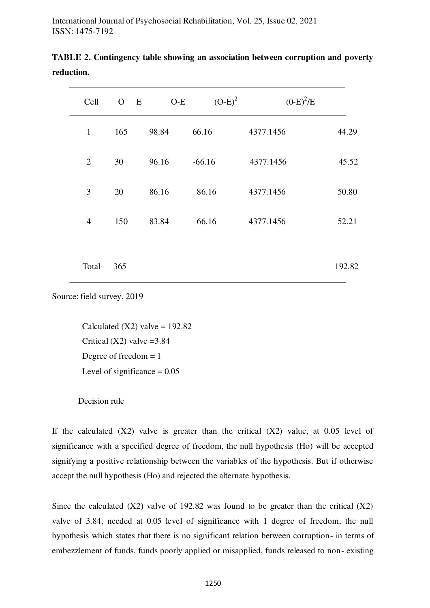| Cell           | $\overline{O}$ | E | $O-E$ | $(O-E)^2$ | $(0-E)^2/E$ |        |
|----------------|----------------|---|-------|-----------|-------------|--------|
| $\mathbf{1}$   | 165            |   | 98.84 | 66.16     | 4377.1456   | 44.29  |
| $\overline{2}$ | 30             |   | 96.16 | $-66.16$  | 4377.1456   | 45.52  |
| 3              | 20             |   | 86.16 | 86.16     | 4377.1456   | 50.80  |
| $\overline{4}$ | 150            |   | 83.84 | 66.16     | 4377.1456   | 52.21  |
|                |                |   |       |           |             |        |
| Total          | 365            |   |       |           |             | 192.82 |

|            | TABLE 2. Contingency table showing an association between corruption and poverty |  |  |
|------------|----------------------------------------------------------------------------------|--|--|
| reduction. |                                                                                  |  |  |

Source: field survey, 2019

Calculated  $(X2)$  valve = 192.82 Critical  $(X2)$  valve = 3.84 Degree of freedom  $= 1$ Level of significance  $= 0.05$ 

#### Decision rule

If the calculated  $(X2)$  valve is greater than the critical  $(X2)$  value, at 0.05 level of significance with a specified degree of freedom, the null hypothesis (Ho) will be accepted signifying a positive relationship between the variables of the hypothesis. But if otherwise accept the null hypothesis (Ho) and rejected the alternate hypothesis.

Since the calculated  $(X2)$  valve of 192.82 was found to be greater than the critical  $(X2)$ valve of 3.84, needed at 0.05 level of significance with 1 degree of freedom, the null hypothesis which states that there is no significant relation between corruption- in terms of embezzlement of funds, funds poorly applied or misapplied, funds released to non- existing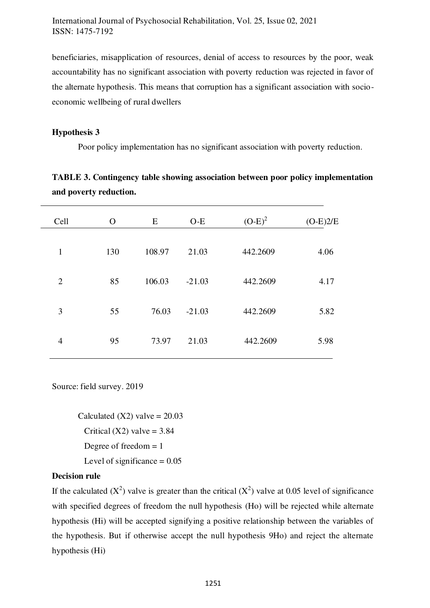beneficiaries, misapplication of resources, denial of access to resources by the poor, weak accountability has no significant association with poverty reduction was rejected in favor of the alternate hypothesis. This means that corruption has a significant association with socioeconomic wellbeing of rural dwellers

#### **Hypothesis 3**

Poor policy implementation has no significant association with poverty reduction.

| Cell           | $\Omega$ | E      | $O-E$    | $(O-E)^2$ | $(O-E)2/E$ |
|----------------|----------|--------|----------|-----------|------------|
| $\mathbf{1}$   | 130      | 108.97 | 21.03    | 442.2609  | 4.06       |
| $\overline{2}$ | 85       | 106.03 | $-21.03$ | 442.2609  | 4.17       |
| 3              | 55       | 76.03  | $-21.03$ | 442.2609  | 5.82       |
| $\overline{4}$ | 95       | 73.97  | 21.03    | 442.2609  | 5.98       |

**TABLE 3. Contingency table showing association between poor policy implementation and poverty reduction.** 

Source: field survey. 2019

Calculated  $(X2)$  valve = 20.03 Critical  $(X2)$  valve = 3.84 Degree of freedom  $= 1$ Level of significance  $= 0.05$ 

#### **Decision rule**

If the calculated  $(X^2)$  valve is greater than the critical  $(X^2)$  valve at 0.05 level of significance with specified degrees of freedom the null hypothesis (Ho) will be rejected while alternate hypothesis (Hi) will be accepted signifying a positive relationship between the variables of the hypothesis. But if otherwise accept the null hypothesis 9Ho) and reject the alternate hypothesis (Hi)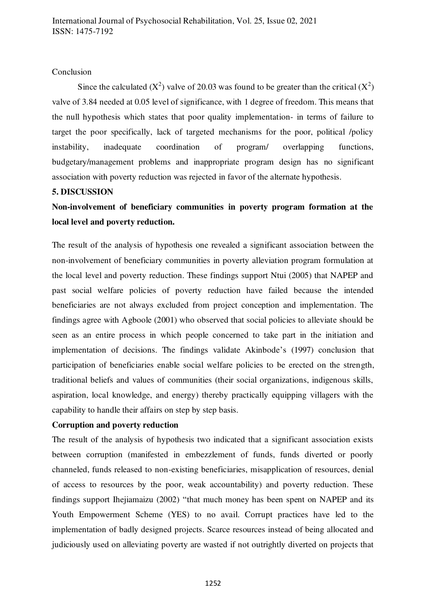#### Conclusion

Since the calculated ( $X^2$ ) valve of 20.03 was found to be greater than the critical ( $X^2$ ) valve of 3.84 needed at 0.05 level of significance, with 1 degree of freedom. This means that the null hypothesis which states that poor quality implementation- in terms of failure to target the poor specifically, lack of targeted mechanisms for the poor, political /policy instability, inadequate coordination of program/ overlapping functions, budgetary/management problems and inappropriate program design has no significant association with poverty reduction was rejected in favor of the alternate hypothesis.

#### **5. DISCUSSION**

**Non-involvement of beneficiary communities in poverty program formation at the local level and poverty reduction.** 

The result of the analysis of hypothesis one revealed a significant association between the non-involvement of beneficiary communities in poverty alleviation program formulation at the local level and poverty reduction. These findings support Ntui (2005) that NAPEP and past social welfare policies of poverty reduction have failed because the intended beneficiaries are not always excluded from project conception and implementation. The findings agree with Agboole (2001) who observed that social policies to alleviate should be seen as an entire process in which people concerned to take part in the initiation and implementation of decisions. The findings validate Akinbode's (1997) conclusion that participation of beneficiaries enable social welfare policies to be erected on the strength, traditional beliefs and values of communities (their social organizations, indigenous skills, aspiration, local knowledge, and energy) thereby practically equipping villagers with the capability to handle their affairs on step by step basis.

### **Corruption and poverty reduction**

The result of the analysis of hypothesis two indicated that a significant association exists between corruption (manifested in embezzlement of funds, funds diverted or poorly channeled, funds released to non-existing beneficiaries, misapplication of resources, denial of access to resources by the poor, weak accountability) and poverty reduction. These findings support Ihejiamaizu (2002) "that much money has been spent on NAPEP and its Youth Empowerment Scheme (YES) to no avail. Corrupt practices have led to the implementation of badly designed projects. Scarce resources instead of being allocated and judiciously used on alleviating poverty are wasted if not outrightly diverted on projects that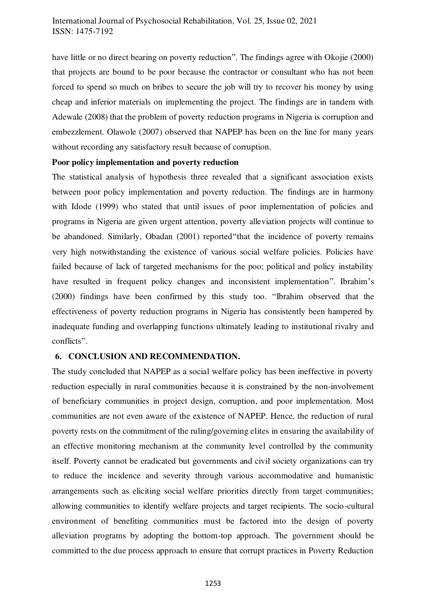have little or no direct bearing on poverty reduction". The findings agree with Okojie (2000) that projects are bound to be poor because the contractor or consultant who has not been forced to spend so much on bribes to secure the job will try to recover his money by using cheap and inferior materials on implementing the project. The findings are in tandem with Adewale (2008) that the problem of poverty reduction programs in Nigeria is corruption and embezzlement. Olawole (2007) observed that NAPEP has been on the line for many years without recording any satisfactory result because of corruption.

#### **Poor policy implementation and poverty reduction**

The statistical analysis of hypothesis three revealed that a significant association exists between poor policy implementation and poverty reduction. The findings are in harmony with Idode (1999) who stated that until issues of poor implementation of policies and programs in Nigeria are given urgent attention, poverty alleviation projects will continue to be abandoned. Similarly, Obadan (2001) reported"that the incidence of poverty remains very high notwithstanding the existence of various social welfare policies. Policies have failed because of lack of targeted mechanisms for the poo; political and policy instability have resulted in frequent policy changes and inconsistent implementation". Ibrahim's (2000) findings have been confirmed by this study too. "Ibrahim observed that the effectiveness of poverty reduction programs in Nigeria has consistently been hampered by inadequate funding and overlapping functions ultimately leading to institutional rivalry and conflicts".

#### **6. CONCLUSION AND RECOMMENDATION.**

The study concluded that NAPEP as a social welfare policy has been ineffective in poverty reduction especially in rural communities because it is constrained by the non-involvement of beneficiary communities in project design, corruption, and poor implementation. Most communities are not even aware of the existence of NAPEP. Hence, the reduction of rural poverty rests on the commitment of the ruling/governing elites in ensuring the availability of an effective monitoring mechanism at the community level controlled by the community itself. Poverty cannot be eradicated but governments and civil society organizations can try to reduce the incidence and severity through various accommodative and humanistic arrangements such as eliciting social welfare priorities directly from target communities; allowing communities to identify welfare projects and target recipients. The socio-cultural environment of benefiting communities must be factored into the design of poverty alleviation programs by adopting the bottom-top approach. The government should be committed to the due process approach to ensure that corrupt practices in Poverty Reduction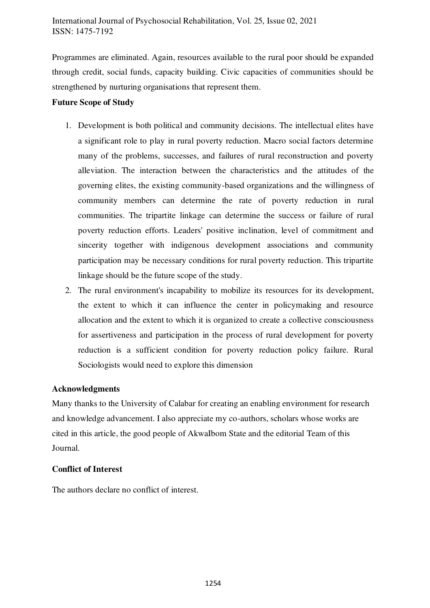Programmes are eliminated. Again, resources available to the rural poor should be expanded through credit, social funds, capacity building. Civic capacities of communities should be strengthened by nurturing organisations that represent them.

# **Future Scope of Study**

- 1. Development is both political and community decisions. The intellectual elites have a significant role to play in rural poverty reduction. Macro social factors determine many of the problems, successes, and failures of rural reconstruction and poverty alleviation. The interaction between the characteristics and the attitudes of the governing elites, the existing community-based organizations and the willingness of community members can determine the rate of poverty reduction in rural communities. The tripartite linkage can determine the success or failure of rural poverty reduction efforts. Leaders' positive inclination, level of commitment and sincerity together with indigenous development associations and community participation may be necessary conditions for rural poverty reduction. This tripartite linkage should be the future scope of the study.
- 2. The rural environment's incapability to mobilize its resources for its development, the extent to which it can influence the center in policymaking and resource allocation and the extent to which it is organized to create a collective consciousness for assertiveness and participation in the process of rural development for poverty reduction is a sufficient condition for poverty reduction policy failure. Rural Sociologists would need to explore this dimension

# **Acknowledgments**

Many thanks to the University of Calabar for creating an enabling environment for research and knowledge advancement. I also appreciate my co-authors, scholars whose works are cited in this article, the good people of AkwaIbom State and the editorial Team of this Journal.

# **Conflict of Interest**

The authors declare no conflict of interest.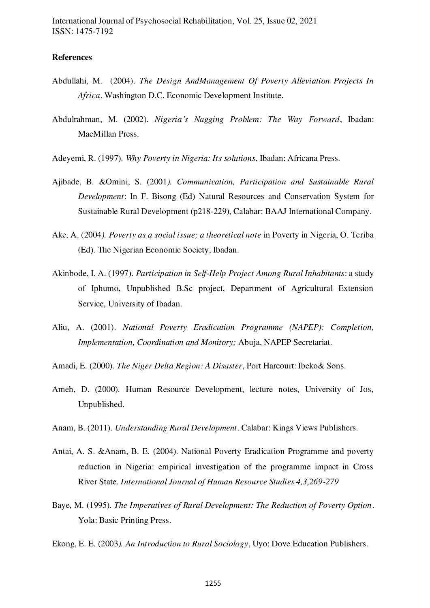#### **References**

- <span id="page-22-8"></span>Abdullahi, M. (2004). *The Design AndManagement Of Poverty Alleviation Projects In Africa*. Washington D.C. Economic Development Institute.
- <span id="page-22-9"></span>Abdulrahman, M. (2002). *Nigeria's Nagging Problem: The Way Forward*, Ibadan: MacMillan Press.
- Adeyemi, R. (1997). *Why Poverty in Nigeria: Its solutions*, Ibadan: Africana Press.
- <span id="page-22-6"></span>Ajibade, B. &Omini, S. (2001*). Communication, Participation and Sustainable Rural Development*: In F. Bisong (Ed) Natural Resources and Conservation System for Sustainable Rural Development (p218-229), Calabar: BAAJ International Company.
- <span id="page-22-1"></span>Ake, A. (2004*). Poverty as a social issue; a theoretical note* in Poverty in Nigeria, O. Teriba (Ed). The Nigerian Economic Society, Ibadan.
- <span id="page-22-4"></span>Akinbode, I. A. (1997). *Participation in Self-Help Project Among Rural Inhabitants*: a study of Iphumo, Unpublished B.Sc project, Department of Agricultural Extension Service, University of Ibadan.
- <span id="page-22-11"></span>Aliu, A. (2001). *National Poverty Eradication Programme (NAPEP): Completion, Implementation, Coordination and Monitory;* Abuja, NAPEP Secretariat.
- <span id="page-22-10"></span>Amadi, E. (2000). *The Niger Delta Region: A Disaster*, Port Harcourt: Ibeko& Sons.
- <span id="page-22-5"></span>Ameh, D. (2000). Human Resource Development, lecture notes, University of Jos, Unpublished.
- <span id="page-22-3"></span>Anam, B. (2011). *Understanding Rural Development*. Calabar: Kings Views Publishers.
- <span id="page-22-2"></span>Antai, A. S. &Anam, B. E. (2004). National Poverty Eradication Programme and poverty reduction in Nigeria: empirical investigation of the programme impact in Cross River State*. International Journal of Human Resource Studies 4,3,269-279*
- <span id="page-22-7"></span>Baye, M. (1995). *The Imperatives of Rural Development: The Reduction of Poverty Option*. Yola: Basic Printing Press.
- <span id="page-22-0"></span>Ekong, E. E. (2003*). An Introduction to Rural Sociology*, Uyo: Dove Education Publishers.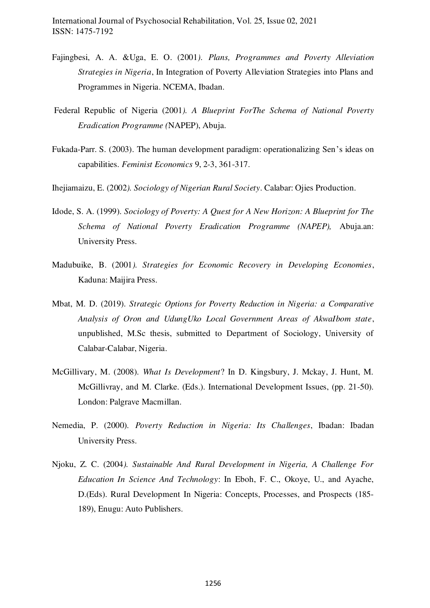- <span id="page-23-1"></span>Fajingbesi, A. A. &Uga, E. O. (2001*). Plans, Programmes and Poverty Alleviation Strategies in Nigeria*, In Integration of Poverty Alleviation Strategies into Plans and Programmes in Nigeria. NCEMA, Ibadan.
- <span id="page-23-3"></span> Federal Republic of Nigeria (2001*). A Blueprint ForThe Schema of National Poverty Eradication Programme (*NAPEP), Abuja.
- <span id="page-23-8"></span>Fukada-Parr. S. (2003). The human development paradigm: operationalizing Sen's ideas on capabilities. *Feminist Economics* 9, 2-3, 361-317.
- <span id="page-23-5"></span>Ihejiamaizu, E. (2002*). Sociology of Nigerian Rural Society*. Calabar: Ojies Production.
- <span id="page-23-6"></span>Idode, S. A. (1999). *Sociology of Poverty: A Quest for A New Horizon: A Blueprint for The Schema of National Poverty Eradication Programme (NAPEP),* Abuja.an: University Press.
- <span id="page-23-4"></span>Madubuike, B. (2001*). Strategies for Economic Recovery in Developing Economies*, Kaduna: Maijira Press.
- <span id="page-23-2"></span>Mbat, M. D. (2019). *Strategic Options for Poverty Reduction in Nigeria: a Comparative Analysis of Oron and UdungUko Local Government Areas of AkwaIbom state*, unpublished, M.Sc thesis, submitted to Department of Sociology, University of Calabar-Calabar, Nigeria.
- <span id="page-23-7"></span>McGillivary, M. (2008). *What Is Development*? In D. Kingsbury, J. Mckay, J. Hunt, M. McGillivray, and M. Clarke. (Eds.). International Development Issues, (pp. 21-50). London: Palgrave Macmillan.
- <span id="page-23-0"></span>Nemedia, P. (2000). *Poverty Reduction in Nigeria: Its Challenges*, Ibadan: Ibadan University Press.
- Njoku, Z. C. (2004*). Sustainable And Rural Development in Nigeria, A Challenge For Education In Science And Technology*: In Eboh, F. C., Okoye, U., and Ayache, D.(Eds). Rural Development In Nigeria: Concepts, Processes, and Prospects (185- 189), Enugu: Auto Publishers.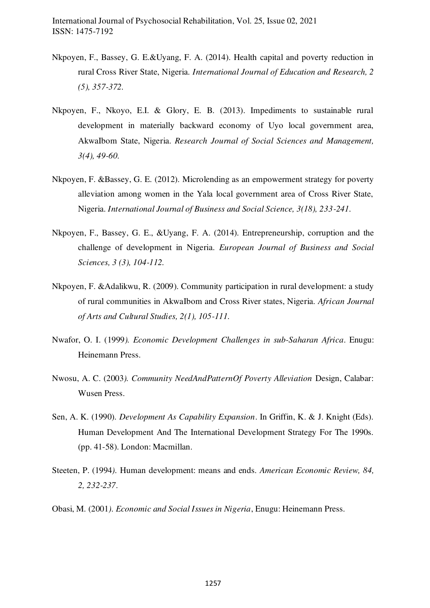- <span id="page-24-5"></span>Nkpoyen, F., Bassey, G. E.&Uyang, F. A. (2014). Health capital and poverty reduction in rural Cross River State, Nigeria. *International Journal of Education and Research, 2 (5), 357-372.*
- <span id="page-24-0"></span>Nkpoyen, F., Nkoyo, E.I. & Glory, E. B. (2013). Impediments to sustainable rural development in materially backward economy of Uyo local government area, AkwaIbom State, Nigeria. *Research Journal of Social Sciences and Management, 3(4), 49-60.*
- <span id="page-24-2"></span>Nkpoyen, F. &Bassey, G. E. (2012). Microlending as an empowerment strategy for poverty alleviation among women in the Yala local government area of Cross River State, Nigeria. *International Journal of Business and Social Science, 3(18), 233-241.*
- Nkpoyen, F., Bassey, G. E., &Uyang, F. A. (2014). Entrepreneurship, corruption and the challenge of development in Nigeria. *European Journal of Business and Social Sciences, 3 (3), 104-112.*
- <span id="page-24-1"></span>Nkpoyen, F. &Adalikwu, R. (2009). Community participation in rural development: a study of rural communities in AkwaIbom and Cross River states, Nigeria. *African Journal of Arts and Cultural Studies, 2(1), 105-111.*
- <span id="page-24-3"></span>Nwafor, O. I. (1999*). Economic Development Challenges in sub-Saharan Africa*. Enugu: Heinemann Press.
- <span id="page-24-6"></span>Nwosu, A. C. (2003*). Community NeedAndPatternOf Poverty Alleviation* Design, Calabar: Wusen Press.
- <span id="page-24-7"></span>Sen, A. K. (1990). *Development As Capability Expansion*. In Griffin, K. & J. Knight (Eds). Human Development And The International Development Strategy For The 1990s. (pp. 41-58). London: Macmillan.
- <span id="page-24-8"></span>Steeten, P. (1994*).* Human development: means and ends*. American Economic Review, 84, 2, 232-237*.
- <span id="page-24-4"></span>Obasi, M. (2001*). Economic and Social Issues in Nigeria*, Enugu: Heinemann Press.